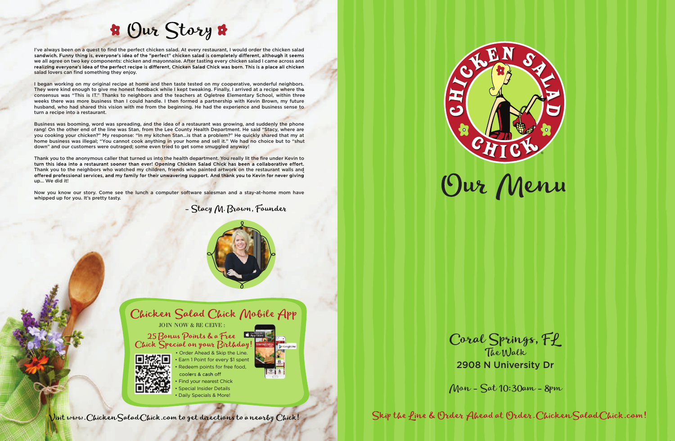

- coolers & cash off Find your nearest Chick
- Special Insider Details
- Daily Specials & More!

Visit www. Chicken Salad Chick.com to get directions to a nearby Chick!

## **\*** Our Story \*

I've always been on a quest to find the perfect chicken salad. At every restaurant, I would order the chicken salad sandwich. Funny thing is, everyone's idea of the "perfect" chicken salad is completely different, although it seems we all agree on two key components: chicken and mayonnaise. After tasting every chicken salad I came across and realizing everyone's idea of the perfect recipe is different, Chicken Salad Chick was born. This is a place all chicken salad lovers can find something they enjoy.

I began working on my original recipe at home and then taste tested on my cooperative, wonderful neighbors. They were kind enough to give me honest feedback while I kept tweaking. Finally, I arrived at a recipe where the consensus was "This is IT." Thanks to neighbors and the teachers at Ogletree Elementary School, within three weeks there was more business than I could handle. I then formed a partnership with Kevin Brown, my future husband, who had shared this vision with me from the beginning. He had the experience and business sense to turn a recipe into a restaurant.

Business was booming, word was spreading, and the idea of a restaurant was growing, and suddenly the phone rang! On the other end of the line was Stan, from the Lee County Health Department. He said "Stacy, where are you cooking your chicken?" My response: "In my kitchen Stan…is that a problem?" He quickly shared that my at home business was illegal; "You cannot cook anything in your home and sell it." We had no choice but to "shut down" and our customers were outraged; some even tried to get some smuggled anyway!

Thank you to the anonymous caller that turned us into the health department. You really lit the fire under Kevin to turn this idea into a restaurant sooner than ever! Opening Chicken Salad Chick has been a collaborative effort. Thank you to the neighbors who watched my children, friends who painted artwork on the restaurant walls and offered professional services, and my family for their unwavering support. And thank you to Kevin for never giving up… We did it!

> • Earn 1 Point for every \$1 spent Redeem points for free food, • Order Ahead & Skip the Line.

Now you know our story. Come see the lunch a computer software salesman and a stay-at-home mom have whipped up for you. It's pretty tasty.

- Stacy M. Brown, Founder





JOIN NOW & RE CEIVE :

25 Bonus Points & a Free Chick Special on your Birthday!



Coral Springs, FL The Walk 2908 N University Dr

Skip the fine & Order Ahead at Order. Chicken Salad Chick.com!

Mon - Sat 10:30am - 8pm